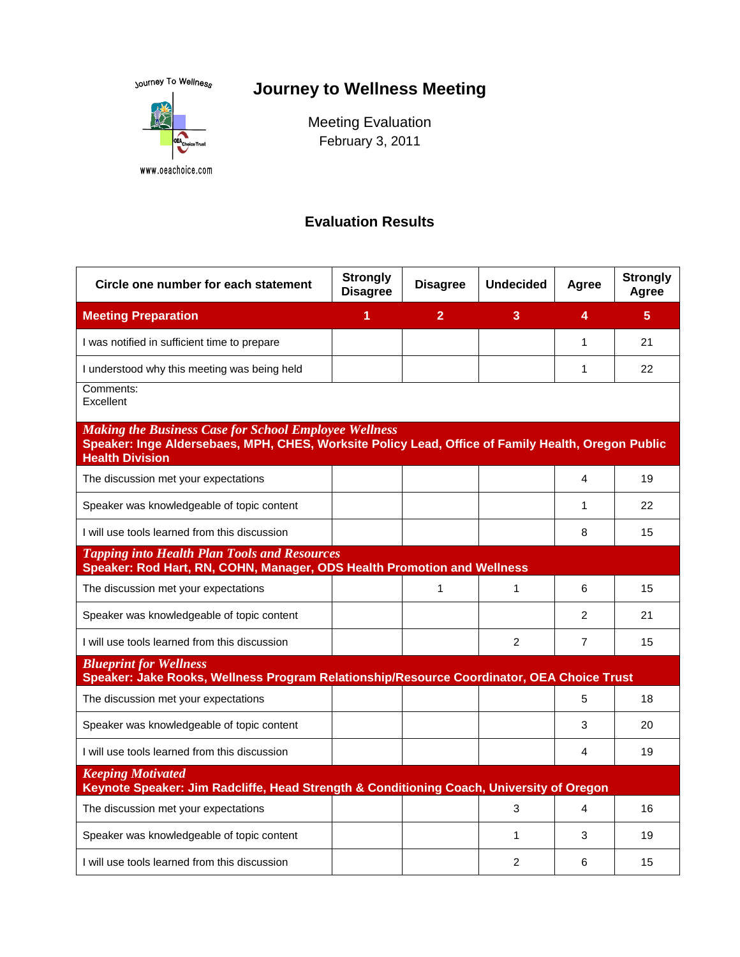<sub>Journey</sub> To Wellness

# **Journey to Wellness Meeting**



Meeting Evaluation February 3, 2011

### **Evaluation Results**

| Circle one number for each statement                                                                                                                                                         | <b>Strongly</b><br><b>Disagree</b> | <b>Disagree</b> | <b>Undecided</b> | Agree          | <b>Strongly</b><br>Agree |
|----------------------------------------------------------------------------------------------------------------------------------------------------------------------------------------------|------------------------------------|-----------------|------------------|----------------|--------------------------|
| <b>Meeting Preparation</b>                                                                                                                                                                   | 1                                  | $\overline{2}$  | 3                | 4              | 5                        |
| I was notified in sufficient time to prepare                                                                                                                                                 |                                    |                 |                  | 1              | 21                       |
| I understood why this meeting was being held                                                                                                                                                 |                                    |                 |                  | 1              | 22                       |
| Comments:<br>Excellent                                                                                                                                                                       |                                    |                 |                  |                |                          |
| <b>Making the Business Case for School Employee Wellness</b><br>Speaker: Inge Aldersebaes, MPH, CHES, Worksite Policy Lead, Office of Family Health, Oregon Public<br><b>Health Division</b> |                                    |                 |                  |                |                          |
| The discussion met your expectations                                                                                                                                                         |                                    |                 |                  | 4              | 19                       |
| Speaker was knowledgeable of topic content                                                                                                                                                   |                                    |                 |                  | 1              | 22                       |
| I will use tools learned from this discussion                                                                                                                                                |                                    |                 |                  | 8              | 15                       |
| <b>Tapping into Health Plan Tools and Resources</b><br>Speaker: Rod Hart, RN, COHN, Manager, ODS Health Promotion and Wellness                                                               |                                    |                 |                  |                |                          |
| The discussion met your expectations                                                                                                                                                         |                                    | $\mathbf{1}$    | 1                | 6              | 15                       |
| Speaker was knowledgeable of topic content                                                                                                                                                   |                                    |                 |                  | 2              | 21                       |
| I will use tools learned from this discussion                                                                                                                                                |                                    |                 | 2                | $\overline{7}$ | 15                       |
| <b>Blueprint for Wellness</b><br>Speaker: Jake Rooks, Wellness Program Relationship/Resource Coordinator, OEA Choice Trust                                                                   |                                    |                 |                  |                |                          |
| The discussion met your expectations                                                                                                                                                         |                                    |                 |                  | 5              | 18                       |
| Speaker was knowledgeable of topic content                                                                                                                                                   |                                    |                 |                  | 3              | 20                       |
| I will use tools learned from this discussion                                                                                                                                                |                                    |                 |                  | 4              | 19                       |
| <b>Keeping Motivated</b><br>Keynote Speaker: Jim Radcliffe, Head Strength & Conditioning Coach, University of Oregon                                                                         |                                    |                 |                  |                |                          |
| The discussion met your expectations                                                                                                                                                         |                                    |                 | 3                | 4              | 16                       |
| Speaker was knowledgeable of topic content                                                                                                                                                   |                                    |                 | 1                | 3              | 19                       |
| I will use tools learned from this discussion                                                                                                                                                |                                    |                 | 2                | 6              | 15                       |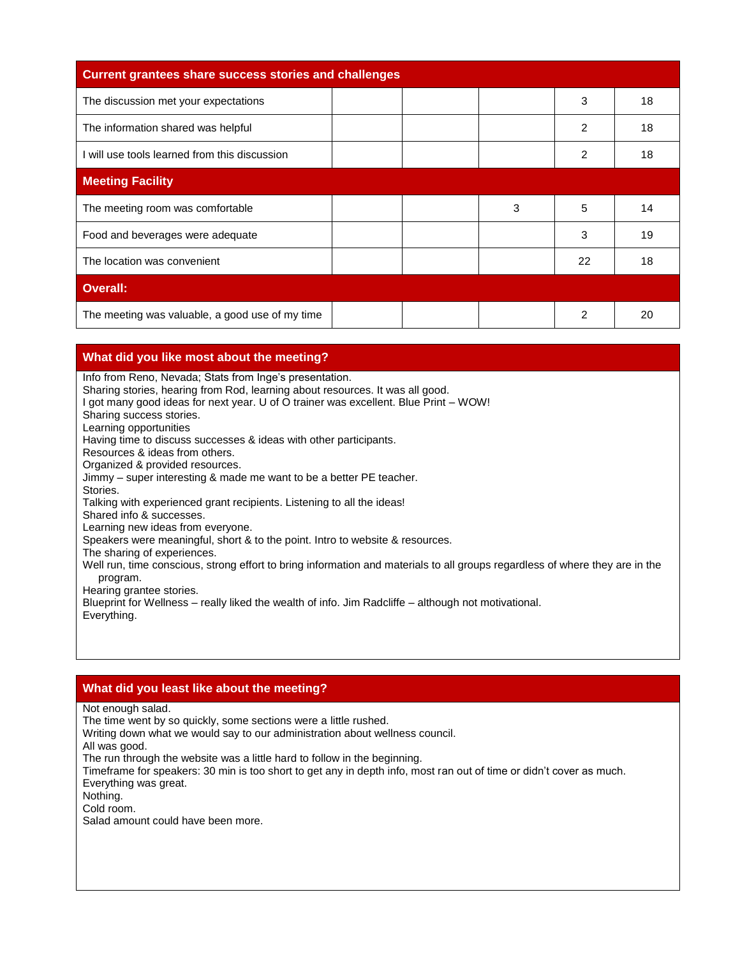| <b>Current grantees share success stories and challenges</b> |   |                |    |
|--------------------------------------------------------------|---|----------------|----|
| The discussion met your expectations                         |   | 3              | 18 |
| The information shared was helpful                           |   | $\mathfrak{p}$ | 18 |
| I will use tools learned from this discussion                |   | 2              | 18 |
| <b>Meeting Facility</b>                                      |   |                |    |
| The meeting room was comfortable                             | 3 | 5              | 14 |
| Food and beverages were adequate                             |   | 3              | 19 |
| The location was convenient                                  |   | 22             | 18 |
| <b>Overall:</b>                                              |   |                |    |
| The meeting was valuable, a good use of my time              |   | 2              | 20 |

#### **What did you like most about the meeting?**

Info from Reno, Nevada; Stats from Inge's presentation.

Sharing stories, hearing from Rod, learning about resources. It was all good.

I got many good ideas for next year. U of O trainer was excellent. Blue Print – WOW!

Sharing success stories.

Learning opportunities

Having time to discuss successes & ideas with other participants.

Resources & ideas from others.

Organized & provided resources.

Jimmy – super interesting & made me want to be a better PE teacher. Stories.

Talking with experienced grant recipients. Listening to all the ideas!

Shared info & successes.

Learning new ideas from everyone.

Speakers were meaningful, short & to the point. Intro to website & resources.

The sharing of experiences.

Well run, time conscious, strong effort to bring information and materials to all groups regardless of where they are in the program.

Hearing grantee stories.

Blueprint for Wellness – really liked the wealth of info. Jim Radcliffe – although not motivational. Everything.

#### **What did you least like about the meeting?**

Not enough salad.

The time went by so quickly, some sections were a little rushed.

Writing down what we would say to our administration about wellness council.

All was good.

The run through the website was a little hard to follow in the beginning.

Timeframe for speakers: 30 min is too short to get any in depth info, most ran out of time or didn't cover as much. Everything was great.

Nothing.

Cold room.

Salad amount could have been more.